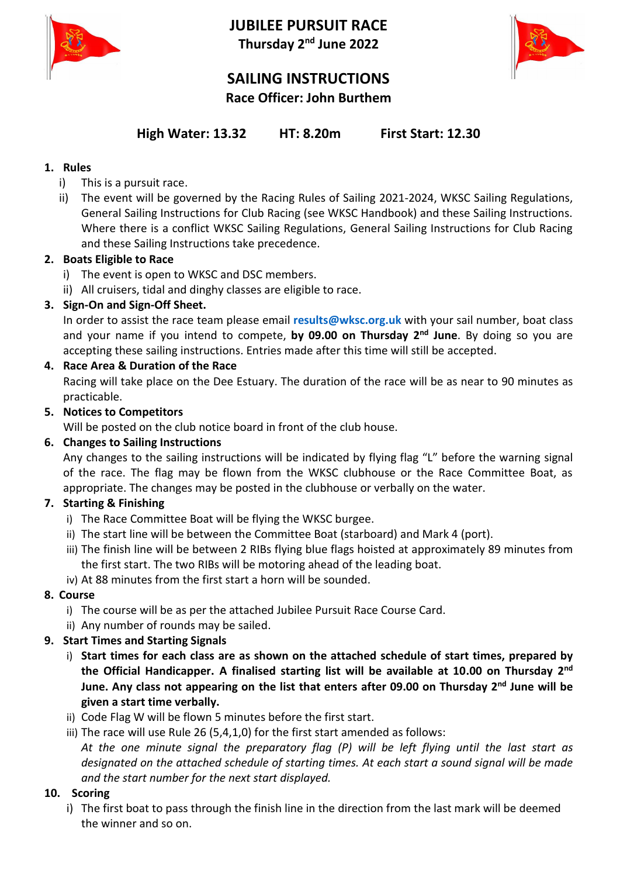

**JUBILEE PURSUIT RACE Thursday 2 nd June 2022**



# **SAILING INSTRUCTIONS Race Officer: John Burthem**

# **High Water: 13.32 HT: 8.20m First Start: 12.30**

# **1. Rules**

- i) This is a pursuit race.
- ii) The event will be governed by the Racing Rules of Sailing 2021-2024, WKSC Sailing Regulations, General Sailing Instructions for Club Racing (see WKSC Handbook) and these Sailing Instructions. Where there is a conflict WKSC Sailing Regulations, General Sailing Instructions for Club Racing and these Sailing Instructions take precedence.

# **2. Boats Eligible to Race**

- i) The event is open to WKSC and DSC members.
- ii) All cruisers, tidal and dinghy classes are eligible to race.

# **3. Sign-On and Sign-Off Sheet.**

In order to assist the race team please email **results@wksc.org.uk** with your sail number, boat class and your name if you intend to compete, **by 09.00 on Thursday 2 nd June**. By doing so you are accepting these sailing instructions. Entries made after this time will still be accepted.

# **4. Race Area & Duration of the Race**

Racing will take place on the Dee Estuary. The duration of the race will be as near to 90 minutes as practicable.

# **5. Notices to Competitors**

Will be posted on the club notice board in front of the club house.

# **6. Changes to Sailing Instructions**

Any changes to the sailing instructions will be indicated by flying flag "L" before the warning signal of the race. The flag may be flown from the WKSC clubhouse or the Race Committee Boat, as appropriate. The changes may be posted in the clubhouse or verbally on the water.

# **7. Starting & Finishing**

- i) The Race Committee Boat will be flying the WKSC burgee.
- ii) The start line will be between the Committee Boat (starboard) and Mark 4 (port).
- iii) The finish line will be between 2 RIBs flying blue flags hoisted at approximately 89 minutes from the first start. The two RIBs will be motoring ahead of the leading boat.
- iv) At 88 minutes from the first start a horn will be sounded.

# **8. Course**

- i) The course will be as per the attached Jubilee Pursuit Race Course Card.
- ii) Any number of rounds may be sailed.

# **9. Start Times and Starting Signals**

- i) **Start times for each class are as shown on the attached schedule of start times, prepared by the Official Handicapper. A finalised starting list will be available at 10.00 on Thursday 2 nd June. Any class not appearing on the list that enters after 09.00 on Thursday 2 nd June will be given a start time verbally.**
- ii) Code Flag W will be flown 5 minutes before the first start.
- iii) The race will use Rule 26 (5,4,1,0) for the first start amended as follows: *At the one minute signal the preparatory flag (P) will be left flying until the last start as designated on the attached schedule of starting times. At each start a sound signal will be made and the start number for the next start displayed.*

# **10. Scoring**

i) The first boat to pass through the finish line in the direction from the last mark will be deemed the winner and so on.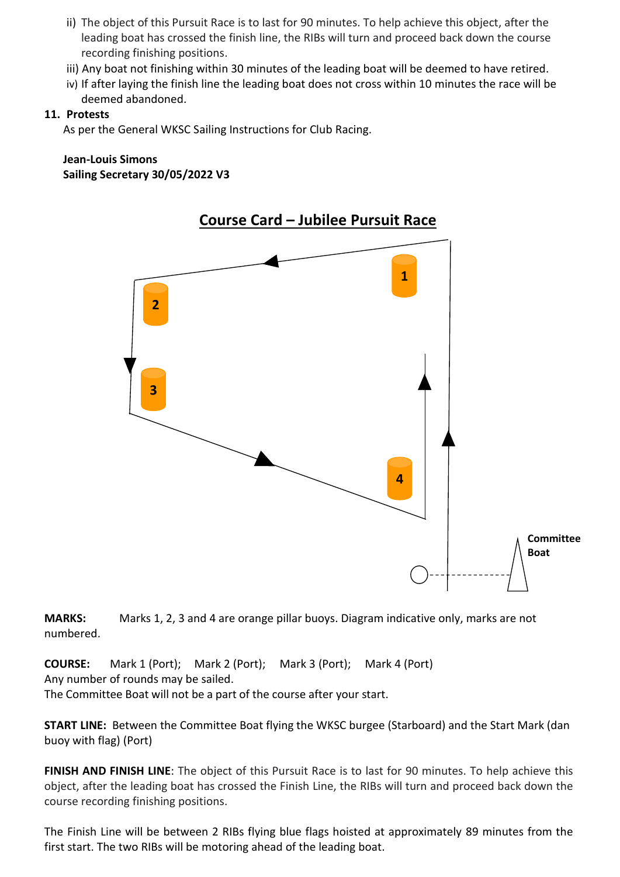- ii) The object of this Pursuit Race is to last for 90 minutes. To help achieve this object, after the leading boat has crossed the finish line, the RIBs will turn and proceed back down the course recording finishing positions.
- iii) Any boat not finishing within 30 minutes of the leading boat will be deemed to have retired.
- iv) If after laying the finish line the leading boat does not cross within 10 minutes the race will be deemed abandoned.

#### **11. Protests**

As per the General WKSC Sailing Instructions for Club Racing.

# **Jean-Louis Simons Sailing Secretary 30/05/2022 V3**



**MARKS:** Marks 1, 2, 3 and 4 are orange pillar buoys. Diagram indicative only, marks are not numbered.

**COURSE:** Mark 1 (Port); Mark 2 (Port); Mark 3 (Port); Mark 4 (Port) Any number of rounds may be sailed.

The Committee Boat will not be a part of the course after your start.

**START LINE:** Between the Committee Boat flying the WKSC burgee (Starboard) and the Start Mark (dan buoy with flag) (Port)

**FINISH AND FINISH LINE**: The object of this Pursuit Race is to last for 90 minutes. To help achieve this object, after the leading boat has crossed the Finish Line, the RIBs will turn and proceed back down the course recording finishing positions.

The Finish Line will be between 2 RIBs flying blue flags hoisted at approximately 89 minutes from the first start. The two RIBs will be motoring ahead of the leading boat.